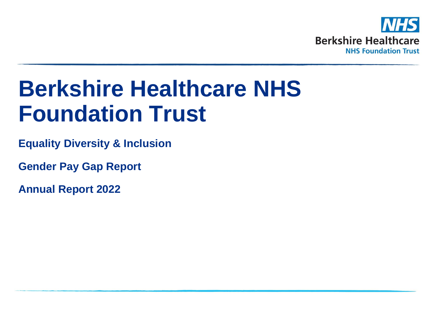

# **Berkshire Healthcare NHS Foundation Trust**

**Equality Diversity & Inclusion**

**Gender Pay Gap Report** 

**Annual Report 2022**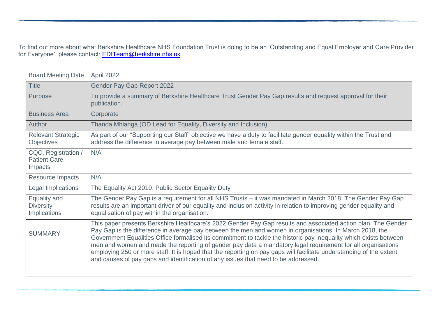To find out more about what Berkshire Healthcare NHS Foundation Trust is doing to be an 'Outstanding and Equal Employer and Care Provider for Everyone', please contact: <u>EDITeam@berkshire.nhs.uk</u>

| <b>Board Meeting Date</b>                             | April 2022                                                                                                                                                                                                                                                                                                                                                                                                                                                                                                                                                                                                                                                                |
|-------------------------------------------------------|---------------------------------------------------------------------------------------------------------------------------------------------------------------------------------------------------------------------------------------------------------------------------------------------------------------------------------------------------------------------------------------------------------------------------------------------------------------------------------------------------------------------------------------------------------------------------------------------------------------------------------------------------------------------------|
| <b>Title</b>                                          | Gender Pay Gap Report 2022                                                                                                                                                                                                                                                                                                                                                                                                                                                                                                                                                                                                                                                |
| Purpose                                               | To provide a summary of Berkshire Healthcare Trust Gender Pay Gap results and request approval for their<br>publication.                                                                                                                                                                                                                                                                                                                                                                                                                                                                                                                                                  |
| <b>Business Area</b>                                  | Corporate                                                                                                                                                                                                                                                                                                                                                                                                                                                                                                                                                                                                                                                                 |
| Author                                                | Thanda Mhlanga (OD Lead for Equality, Diversity and Inclusion)                                                                                                                                                                                                                                                                                                                                                                                                                                                                                                                                                                                                            |
| <b>Relevant Strategic</b><br><b>Objectives</b>        | As part of our "Supporting our Staff" objective we have a duty to facilitate gender equality within the Trust and<br>address the difference in average pay between male and female staff.                                                                                                                                                                                                                                                                                                                                                                                                                                                                                 |
| CQC, Registration /<br><b>Patient Care</b><br>Impacts | N/A                                                                                                                                                                                                                                                                                                                                                                                                                                                                                                                                                                                                                                                                       |
| <b>Resource Impacts</b>                               | N/A                                                                                                                                                                                                                                                                                                                                                                                                                                                                                                                                                                                                                                                                       |
| <b>Legal Implications</b>                             | The Equality Act 2010; Public Sector Equality Duty                                                                                                                                                                                                                                                                                                                                                                                                                                                                                                                                                                                                                        |
| Equality and<br><b>Diversity</b><br>Implications      | The Gender Pay Gap is a requirement for all NHS Trusts - it was mandated in March 2018. The Gender Pay Gap<br>results are an important driver of our equality and inclusion activity in relation to improving gender equality and<br>equalisation of pay within the organisation.                                                                                                                                                                                                                                                                                                                                                                                         |
| <b>SUMMARY</b>                                        | This paper presents Berkshire Healthcare's 2022 Gender Pay Gap results and associated action plan. The Gender<br>Pay Gap is the difference in average pay between the men and women in organisations. In March 2018, the<br>Government Equalities Office formalised its commitment to tackle the historic pay inequality which exists between<br>men and women and made the reporting of gender pay data a mandatory legal requirement for all organisations<br>employing 250 or more staff. It is hoped that the reporting on pay gaps will facilitate understanding of the extent<br>and causes of pay gaps and identification of any issues that need to be addressed. |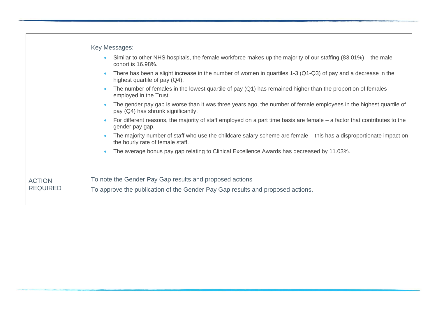|                 | Key Messages:                                                                                                                                            |
|-----------------|----------------------------------------------------------------------------------------------------------------------------------------------------------|
|                 | Similar to other NHS hospitals, the female workforce makes up the majority of our staffing (83.01%) – the male<br>cohort is 16.98%.                      |
|                 | There has been a slight increase in the number of women in quartiles 1-3 (Q1-Q3) of pay and a decrease in the<br>highest quartile of pay (Q4).           |
|                 | The number of females in the lowest quartile of pay $(Q1)$ has remained higher than the proportion of females<br>employed in the Trust.                  |
|                 | The gender pay gap is worse than it was three years ago, the number of female employees in the highest quartile of<br>pay (Q4) has shrunk significantly. |
|                 | For different reasons, the majority of staff employed on a part time basis are female – a factor that contributes to the<br>gender pay gap.              |
|                 | The majority number of staff who use the childcare salary scheme are female – this has a disproportionate impact on<br>the hourly rate of female staff.  |
|                 | The average bonus pay gap relating to Clinical Excellence Awards has decreased by 11.03%.                                                                |
|                 |                                                                                                                                                          |
| <b>ACTION</b>   | To note the Gender Pay Gap results and proposed actions                                                                                                  |
| <b>REQUIRED</b> | To approve the publication of the Gender Pay Gap results and proposed actions.                                                                           |
|                 |                                                                                                                                                          |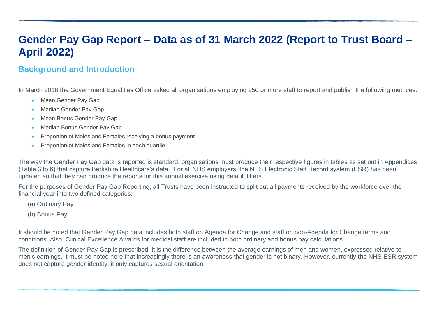# **Gender Pay Gap Report – Data as of 31 March 2022 (Report to Trust Board – April 2022)**

## **Background and Introduction**

In March 2018 the Government Equalities Office asked all organisations employing 250 or more staff to report and publish the following metrices:

- Mean Gender Pay Gap
- Median Gender Pay Gap
- Mean Bonus Gender Pay Gap
- Median Bonus Gender Pay Gap
- Proportion of Males and Females receiving a bonus payment
- Proportion of Males and Females in each quartile

The way the Gender Pay Gap data is reported is standard, organisations must produce their respective figures in tables as set out in Appendices (Table 3 to 6) that capture Berkshire Healthcare's data. For all NHS employers, the NHS Electronic Staff Record system (ESR) has been updated so that they can produce the reports for this annual exercise using default filters.

For the purposes of Gender Pay Gap Reporting, all Trusts have been instructed to split out all payments received by the workforce over the financial year into two defined categories:

- (a) Ordinary Pay
- (b) Bonus Pay

It should be noted that Gender Pay Gap data includes both staff on Agenda for Change and staff on non-Agenda for Change terms and conditions. Also, Clinical Excellence Awards for medical staff are included in both ordinary and bonus pay calculations.

The definition of Gender Pay Gap is prescribed: it is the difference between the average earnings of men and women, expressed relative to men's earnings. It must be noted here that increasingly there is an awareness that gender is not binary. However, currently the NHS ESR system does not capture gender identity, it only captures sexual orientation.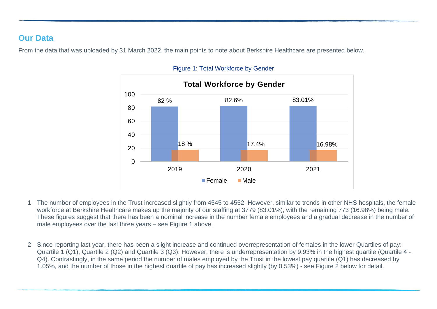## **Our Data**

From the data that was uploaded by 31 March 2022, the main points to note about Berkshire Healthcare are presented below.



#### Figure 1: Total Workforce by Gender

- 1. The number of employees in the Trust increased slightly from 4545 to 4552. However, similar to trends in other NHS hospitals, the female workforce at Berkshire Healthcare makes up the majority of our staffing at 3779 (83.01%), with the remaining 773 (16.98%) being male. These figures suggest that there has been a nominal increase in the number female employees and a gradual decrease in the number of male employees over the last three years – see Figure 1 above.
- 2. Since reporting last year, there has been a slight increase and continued overrepresentation of females in the lower Quartiles of pay: Quartile 1 (Q1), Quartile 2 (Q2) and Quartile 3 (Q3). However, there is underrepresentation by 9.93% in the highest quartile (Quartile 4 - Q4). Contrastingly, in the same period the number of males employed by the Trust in the lowest pay quartile (Q1) has decreased by 1.05%, and the number of those in the highest quartile of pay has increased slightly (by 0.53%) - see Figure 2 below for detail.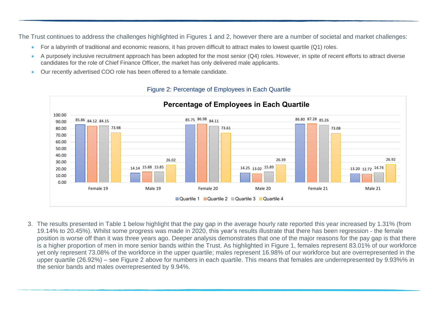The Trust continues to address the challenges highlighted in Figures 1 and 2, however there are a number of societal and market challenges:

- For a labyrinth of traditional and economic reasons, it has proven difficult to attract males to lowest quartile (Q1) roles.
- A purposely inclusive recruitment approach has been adopted for the most senior (Q4) roles. However, in spite of recent efforts to attract diverse candidates for the role of Chief Finance Officer, the market has only delivered male applicants.
- Our recently advertised COO role has been offered to a female candidate.



#### Figure 2: Percentage of Employees in Each Quartile

3. The results presented in Table 1 below highlight that the pay gap in the average hourly rate reported this year increased by 1.31% (from 19.14% to 20.45%). Whilst some progress was made in 2020, this year's results illustrate that there has been regression - the female position is worse off than it was three years ago. Deeper analysis demonstrates that one of the major reasons for the pay gap is that there is a higher proportion of men in more senior bands within the Trust. As highlighted in Figure 1, females represent 83.01% of our workforce yet only represent 73.08% of the workforce in the upper quartile; males represent 16.98% of our workforce but are overrepresented in the upper quartile (26.92%) – see Figure 2 above for numbers in each quartile. This means that females are underrepresented by 9.93%% in the senior bands and males overrepresented by 9.94%.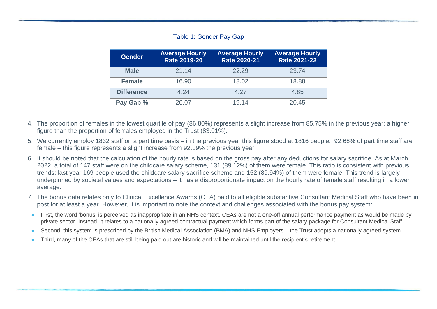#### Table 1: Gender Pay Gap

| <b>Gender</b>     | <b>Average Hourly</b><br><b>Rate 2019-20</b> | <b>Average Hourly</b><br><b>Rate 2020-21</b> | <b>Average Hourly</b><br><b>Rate 2021-22</b> |
|-------------------|----------------------------------------------|----------------------------------------------|----------------------------------------------|
| <b>Male</b>       | 21.14                                        | 22.29                                        | 23.74                                        |
| <b>Female</b>     | 16.90                                        | 18.02                                        | 18.88                                        |
| <b>Difference</b> | 4.24                                         | 4.27                                         | 4.85                                         |
| Pay Gap %         | 20.07                                        | 19.14                                        | 20.45                                        |

- 4. The proportion of females in the lowest quartile of pay (86.80%) represents a slight increase from 85.75% in the previous year: a higher figure than the proportion of females employed in the Trust (83.01%).
- 5. We currently employ 1832 staff on a part time basis in the previous year this figure stood at 1816 people. 92.68% of part time staff are female – this figure represents a slight increase from 92.19% the previous year.
- 6. It should be noted that the calculation of the hourly rate is based on the gross pay after any deductions for salary sacrifice. As at March 2022, a total of 147 staff were on the childcare salary scheme, 131 (89.12%) of them were female. This ratio is consistent with previous trends: last year 169 people used the childcare salary sacrifice scheme and 152 (89.94%) of them were female. This trend is largely underpinned by societal values and expectations – it has a disproportionate impact on the hourly rate of female staff resulting in a lower average.
- 7. The bonus data relates only to Clinical Excellence Awards (CEA) paid to all eligible substantive Consultant Medical Staff who have been in post for at least a year. However, it is important to note the context and challenges associated with the bonus pay system:
- First, the word 'bonus' is perceived as inappropriate in an NHS context. CEAs are not a one-off annual performance payment as would be made by private sector. Instead, it relates to a nationally agreed contractual payment which forms part of the salary package for Consultant Medical Staff.
- Second, this system is prescribed by the British Medical Association (BMA) and NHS Employers the Trust adopts a nationally agreed system.
- Third, many of the CEAs that are still being paid out are historic and will be maintained until the recipient's retirement.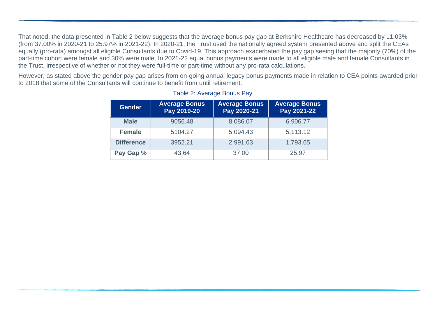That noted, the data presented in Table 2 below suggests that the average bonus pay gap at Berkshire Healthcare has decreased by 11.03% (from 37.00% in 2020-21 to 25.97% in 2021-22). In 2020-21, the Trust used the nationally agreed system presented above and split the CEAs equally (pro-rata) amongst all eligible Consultants due to Covid-19. This approach exacerbated the pay gap seeing that the majority (70%) of the part-time cohort were female and 30% were male. In 2021-22 equal bonus payments were made to all eligible male and female Consultants in the Trust, irrespective of whether or not they were full-time or part-time without any pro-rata calculations.

However, as stated above the gender pay gap arises from on-going annual legacy bonus payments made in relation to CEA points awarded prior to 2018 that some of the Consultants will continue to benefit from until retirement.

| <b>Gender</b>     | <b>Average Bonus</b><br>Pay 2019-20 | <b>Average Bonus</b><br>Pay 2020-21 | <b>Average Bonus</b><br>Pay 2021-22 |  |
|-------------------|-------------------------------------|-------------------------------------|-------------------------------------|--|
| <b>Male</b>       | 9056.48                             | 8,086.07                            | 6,906.77                            |  |
| <b>Female</b>     | 5104.27                             | 5,094.43                            | 5,113.12                            |  |
| <b>Difference</b> | 2,991.63<br>3952.21                 |                                     | 1,793.65                            |  |
| Pay Gap %         | 43.64                               | 37.00                               | 25.97                               |  |

#### Table 2: Average Bonus Pay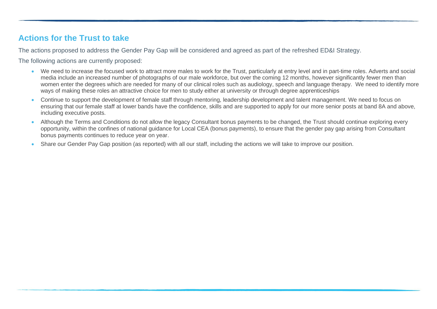## **Actions for the Trust to take**

The actions proposed to address the Gender Pay Gap will be considered and agreed as part of the refreshed ED&I Strategy.

The following actions are currently proposed:

- We need to increase the focused work to attract more males to work for the Trust, particularly at entry level and in part-time roles. Adverts and social media include an increased number of photographs of our male workforce, but over the coming 12 months, however significantly fewer men than women enter the degrees which are needed for many of our clinical roles such as audiology, speech and language therapy. We need to identify more ways of making these roles an attractive choice for men to study either at university or through degree apprenticeships
- Continue to support the development of female staff through mentoring, leadership development and talent management. We need to focus on ensuring that our female staff at lower bands have the confidence, skills and are supported to apply for our more senior posts at band 8A and above, including executive posts.
- Although the Terms and Conditions do not allow the legacy Consultant bonus payments to be changed, the Trust should continue exploring every opportunity, within the confines of national guidance for Local CEA (bonus payments), to ensure that the gender pay gap arising from Consultant bonus payments continues to reduce year on year.
- Share our Gender Pay Gap position (as reported) with all our staff, including the actions we will take to improve our position.